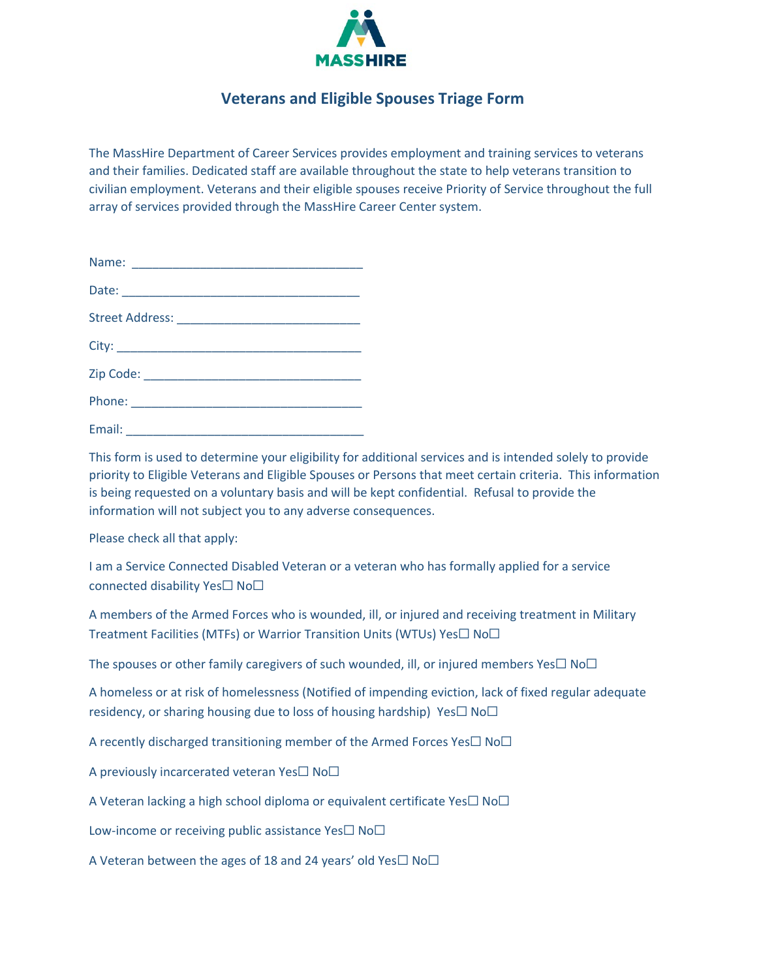

## **Veterans and Eligible Spouses Triage Form**

The MassHire Department of Career Services provides employment and training services to veterans and their families. Dedicated staff are available throughout the state to help veterans transition to civilian employment. Veterans and their eligible spouses receive Priority of Service throughout the full array of services provided through the MassHire Career Center system.

This form is used to determine your eligibility for additional services and is intended solely to provide priority to Eligible Veterans and Eligible Spouses or Persons that meet certain criteria. This information is being requested on a voluntary basis and will be kept confidential. Refusal to provide the information will not subject you to any adverse consequences.

Please check all that apply:

I am a Service Connected Disabled Veteran or a veteran who has formally applied for a service connected disability Yes☐ No☐

A members of the Armed Forces who is wounded, ill, or injured and receiving treatment in Military Treatment Facilities (MTFs) or Warrior Transition Units (WTUs) Yes□ No□

The spouses or other family caregivers of such wounded, ill, or injured members Yes $\Box$  No $\Box$ 

A homeless or at risk of homelessness (Notified of impending eviction, lack of fixed regular adequate residency, or sharing housing due to loss of housing hardship) Yes $\Box$  No $\Box$ 

A recently discharged transitioning member of the Armed Forces Yes $\Box$  No $\Box$ 

A previously incarcerated veteran Yes□ No□

A Veteran lacking a high school diploma or equivalent certificate Yes□ No□

Low-income or receiving public assistance Yes $\square$  No $\square$ 

A Veteran between the ages of 18 and 24 years' old Yes $\square$  No $\square$